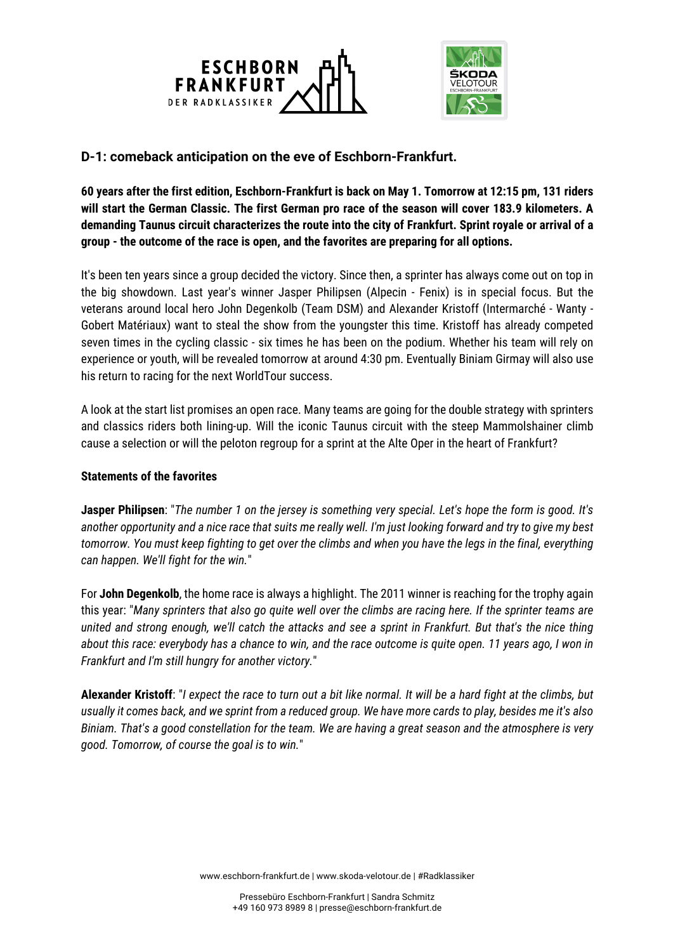

## **D-1: comeback anticipation on the eve of Eschborn-Frankfurt.**

**60 years after the first edition, Eschborn-Frankfurt is back on May 1. Tomorrow at 12:15 pm, 131 riders will start the German Classic. The first German pro race of the season will cover 183.9 kilometers. A demanding Taunus circuit characterizes the route into the city of Frankfurt. Sprint royale or arrival of a group - the outcome of the race is open, and the favorites are preparing for all options.**

It's been ten years since a group decided the victory. Since then, a sprinter has always come out on top in the big showdown. Last year's winner Jasper Philipsen (Alpecin - Fenix) is in special focus. But the veterans around local hero John Degenkolb (Team DSM) and Alexander Kristoff (Intermarché - Wanty - Gobert Matériaux) want to steal the show from the youngster this time. Kristoff has already competed seven times in the cycling classic - six times he has been on the podium. Whether his team will rely on experience or youth, will be revealed tomorrow at around 4:30 pm. Eventually Biniam Girmay will also use his return to racing for the next WorldTour success.

A look at the start list promises an open race. Many teams are going for the double strategy with sprinters and classics riders both lining-up. Will the iconic Taunus circuit with the steep Mammolshainer climb cause a selection or will the peloton regroup for a sprint at the Alte Oper in the heart of Frankfurt?

## **Statements of the favorites**

**Jasper Philipsen**: "*The number 1 on the jersey is something very special. Let's hope the form is good. It's another opportunity and a nice race that suits me really well. I'm just looking forward and try to give my best tomorrow. You must keep fighting to get over the climbs and when you have the legs in the final, everything can happen. We'll fight for the win.*"

For **John Degenkolb**, the home race is always a highlight. The 2011 winner is reaching for the trophy again this year: "*Many sprinters that also go quite well over the climbs are racing here. If the sprinter teams are united and strong enough, we'll catch the attacks and see a sprint in Frankfurt. But that's the nice thing about this race: everybody has a chance to win, and the race outcome is quite open. 11 years ago, I won in Frankfurt and I'm still hungry for another victory.*"

**Alexander Kristoff**: "*I expect the race to turn out a bit like normal. It will be a hard fight at the climbs, but usually it comes back, and we sprint from a reduced group. We have more cards to play, besides me it's also Biniam. That's a good constellation for the team. We are having a great season and the atmosphere is very good. Tomorrow, of course the goal is to win.*"

www.eschborn-frankfurt.de | www.skoda-velotour.de | #Radklassiker